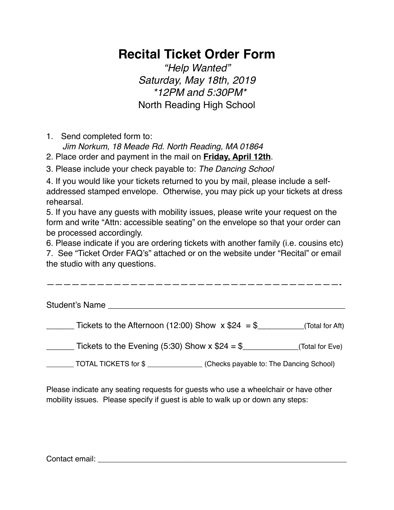# **Recital Ticket Order Form**

*"Help Wanted" Saturday, May 18th, 2019 \*12PM and 5:30PM\** North Reading High School

1. Send completed form to:

*Jim Norkum, 18 Meade Rd. North Reading, MA 01864*

2. Place order and payment in the mail on **Friday, April 12th**.

3. Please include your check payable to: *The Dancing School*

4. If you would like your tickets returned to you by mail, please include a selfaddressed stamped envelope. Otherwise, you may pick up your tickets at dress rehearsal.

5. If you have any guests with mobility issues, please write your request on the form and write "Attn: accessible seating" on the envelope so that your order can be processed accordingly.

6. Please indicate if you are ordering tickets with another family (i.e. cousins etc)

7. See "Ticket Order FAQ's" attached or on the website under "Recital" or email the studio with any questions.

| Student's Name                                                  |                 |
|-----------------------------------------------------------------|-----------------|
| Tickets to the Afternoon (12:00) Show $x $24 = $$               | (Total for Aft) |
| Tickets to the Evening (5:30) Show x $$24 = $$                  | (Total for Eve) |
| (Checks payable to: The Dancing School)<br>TOTAL TICKETS for \$ |                 |

Please indicate any seating requests for guests who use a wheelchair or have other mobility issues. Please specify if guest is able to walk up or down any steps:

Contact email: \_\_\_\_\_\_\_\_\_\_\_\_\_\_\_\_\_\_\_\_\_\_\_\_\_\_\_\_\_\_\_\_\_\_\_\_\_\_\_\_\_\_\_\_\_\_\_\_\_\_\_\_\_\_\_\_\_\_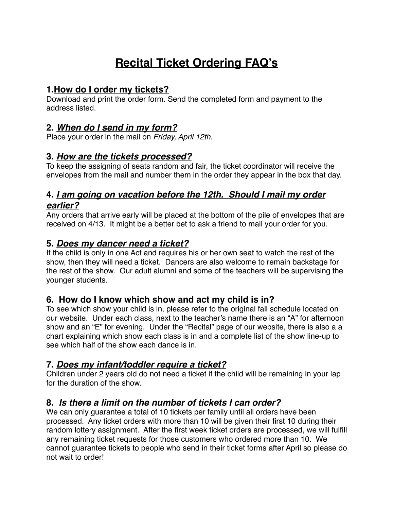## **Recital Ticket Ordering FAQ's**

#### **1.How do I order my tickets?**

Download and print the order form. Send the completed form and payment to the address listed.

#### **2.** *When do I send in my form?*

Place your order in the mail on *Friday, April 12th.*

### **3.** *How are the tickets processed?*

To keep the assigning of seats random and fair, the ticket coordinator will receive the envelopes from the mail and number them in the order they appear in the box that day.

## **4.** *I am going on vacation before the 12th. Should I mail my order earlier?*

Any orders that arrive early will be placed at the bottom of the pile of envelopes that are received on 4/13. It might be a better bet to ask a friend to mail your order for you.

#### **5.** *Does my dancer need a ticket?*

If the child is only in one Act and requires his or her own seat to watch the rest of the show, then they will need a ticket. Dancers are also welcome to remain backstage for the rest of the show. Our adult alumni and some of the teachers will be supervising the younger students.

#### **6. How do I know which show and act my child is in?**

To see which show your child is in, please refer to the original fall schedule located on our website. Under each class, next to the teacher's name there is an "A" for afternoon show and an "E" for evening. Under the "Recital" page of our website, there is also a a chart explaining which show each class is in and a complete list of the show line-up to see which half of the show each dance is in.

## **7.** *Does my infant/toddler require a ticket?*

Children under 2 years old do not need a ticket if the child will be remaining in your lap for the duration of the show.

## **8.** *Is there a limit on the number of tickets I can order?*

We can only guarantee a total of 10 tickets per family until all orders have been processed. Any ticket orders with more than 10 will be given their first 10 during their random lottery assignment. After the first week ticket orders are processed, we will fulfill any remaining ticket requests for those customers who ordered more than 10. We cannot guarantee tickets to people who send in their ticket forms after April so please do not wait to order!